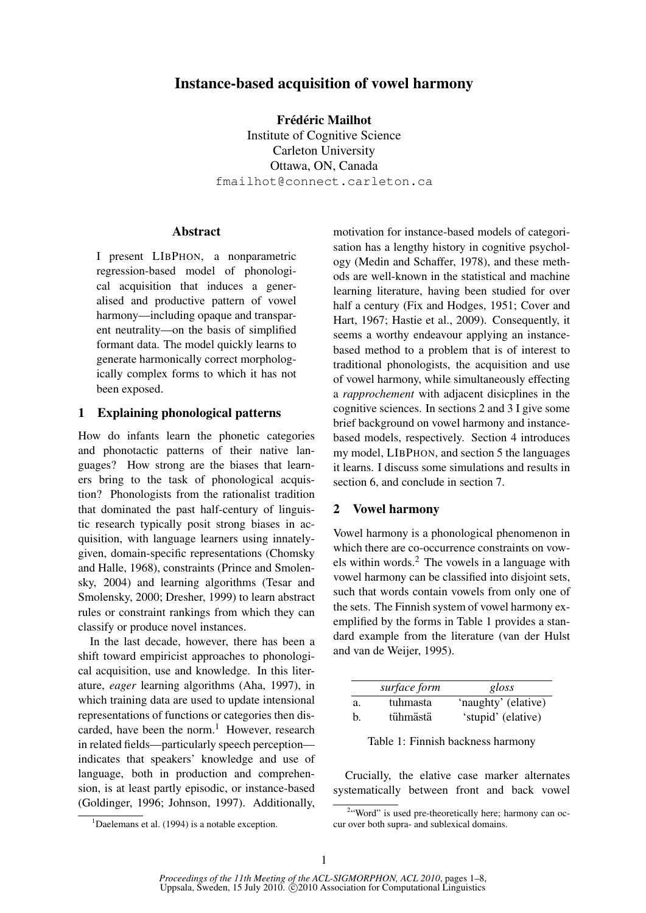# Instance-based acquisition of vowel harmony

Frédéric Mailhot Institute of Cognitive Science Carleton University Ottawa, ON, Canada fmailhot@connect.carleton.ca

## Abstract

I present LIBPHON, a nonparametric regression-based model of phonological acquisition that induces a generalised and productive pattern of vowel harmony—including opaque and transparent neutrality—on the basis of simplified formant data. The model quickly learns to generate harmonically correct morphologically complex forms to which it has not been exposed.

## 1 Explaining phonological patterns

How do infants learn the phonetic categories and phonotactic patterns of their native languages? How strong are the biases that learners bring to the task of phonological acquistion? Phonologists from the rationalist tradition that dominated the past half-century of linguistic research typically posit strong biases in acquisition, with language learners using innatelygiven, domain-specific representations (Chomsky and Halle, 1968), constraints (Prince and Smolensky, 2004) and learning algorithms (Tesar and Smolensky, 2000; Dresher, 1999) to learn abstract rules or constraint rankings from which they can classify or produce novel instances.

In the last decade, however, there has been a shift toward empiricist approaches to phonological acquisition, use and knowledge. In this literature, *eager* learning algorithms (Aha, 1997), in which training data are used to update intensional representations of functions or categories then discarded, have been the norm. $<sup>1</sup>$  However, research</sup> in related fields—particularly speech perception indicates that speakers' knowledge and use of language, both in production and comprehension, is at least partly episodic, or instance-based (Goldinger, 1996; Johnson, 1997). Additionally,

motivation for instance-based models of categorisation has a lengthy history in cognitive psychology (Medin and Schaffer, 1978), and these methods are well-known in the statistical and machine learning literature, having been studied for over half a century (Fix and Hodges, 1951; Cover and Hart, 1967; Hastie et al., 2009). Consequently, it seems a worthy endeavour applying an instancebased method to a problem that is of interest to traditional phonologists, the acquisition and use of vowel harmony, while simultaneously effecting a *rapprochement* with adjacent disicplines in the cognitive sciences. In sections 2 and 3 I give some brief background on vowel harmony and instancebased models, respectively. Section 4 introduces my model, LIBPHON, and section 5 the languages it learns. I discuss some simulations and results in section 6, and conclude in section 7.

## 2 Vowel harmony

Vowel harmony is a phonological phenomenon in which there are co-occurrence constraints on vowels within words. $<sup>2</sup>$  The vowels in a language with</sup> vowel harmony can be classified into disjoint sets, such that words contain vowels from only one of the sets. The Finnish system of vowel harmony exemplified by the forms in Table 1 provides a standard example from the literature (van der Hulst and van de Weijer, 1995).

|    | surface form | gloss               |
|----|--------------|---------------------|
| a. | tuhmasta     | 'naughty' (elative) |
| b. | tühmästä     | 'stupid' (elative)  |

Table 1: Finnish backness harmony

Crucially, the elative case marker alternates systematically between front and back vowel

 $1$ Daelemans et al. (1994) is a notable exception.

<sup>&</sup>lt;sup>2</sup>"Word" is used pre-theoretically here; harmony can occur over both supra- and sublexical domains.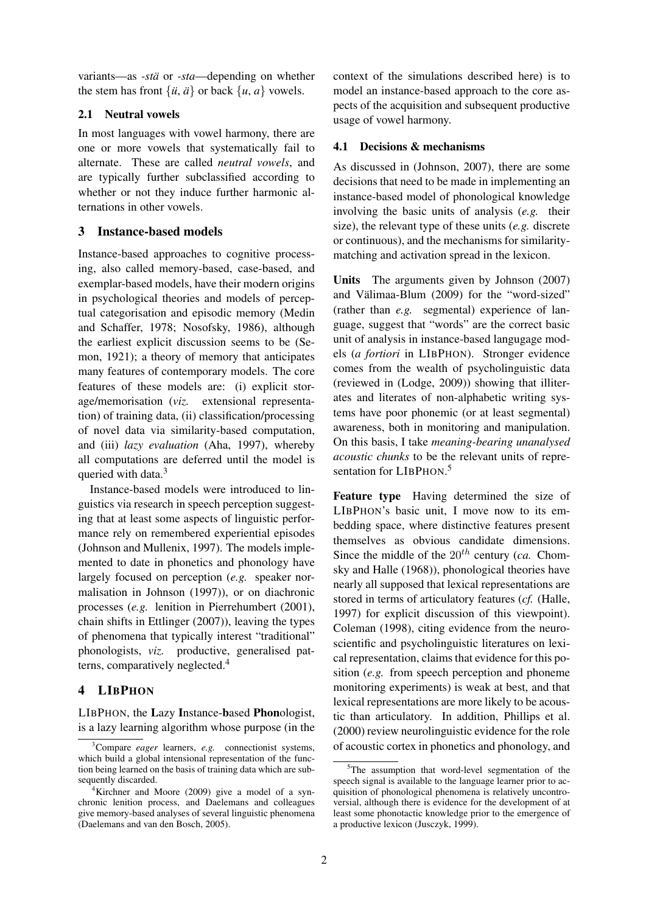variants—as *-stä* or *-sta*—depending on whether the stem has front  $\{\ddot{u}, \ddot{a}\}$  or back  $\{u, a\}$  vowels.

## 2.1 Neutral vowels

In most languages with vowel harmony, there are one or more vowels that systematically fail to alternate. These are called *neutral vowels*, and are typically further subclassified according to whether or not they induce further harmonic alternations in other vowels.

## 3 Instance-based models

Instance-based approaches to cognitive processing, also called memory-based, case-based, and exemplar-based models, have their modern origins in psychological theories and models of perceptual categorisation and episodic memory (Medin and Schaffer, 1978; Nosofsky, 1986), although the earliest explicit discussion seems to be (Semon, 1921); a theory of memory that anticipates many features of contemporary models. The core features of these models are: (i) explicit storage/memorisation (*viz.* extensional representation) of training data, (ii) classification/processing of novel data via similarity-based computation, and (iii) *lazy evaluation* (Aha, 1997), whereby all computations are deferred until the model is queried with data.<sup>3</sup>

Instance-based models were introduced to linguistics via research in speech perception suggesting that at least some aspects of linguistic performance rely on remembered experiential episodes (Johnson and Mullenix, 1997). The models implemented to date in phonetics and phonology have largely focused on perception (*e.g.* speaker normalisation in Johnson (1997)), or on diachronic processes (*e.g.* lenition in Pierrehumbert (2001), chain shifts in Ettlinger (2007)), leaving the types of phenomena that typically interest "traditional" phonologists, *viz.* productive, generalised patterns, comparatively neglected.<sup>4</sup>

## 4 LIBPHON

LIBPHON, the Lazy Instance-based Phonologist, is a lazy learning algorithm whose purpose (in the

context of the simulations described here) is to model an instance-based approach to the core aspects of the acquisition and subsequent productive usage of vowel harmony.

### 4.1 Decisions & mechanisms

As discussed in (Johnson, 2007), there are some decisions that need to be made in implementing an instance-based model of phonological knowledge involving the basic units of analysis (*e.g.* their size), the relevant type of these units (*e.g.* discrete or continuous), and the mechanisms for similaritymatching and activation spread in the lexicon.

Units The arguments given by Johnson (2007) and Välimaa-Blum (2009) for the "word-sized" (rather than *e.g.* segmental) experience of language, suggest that "words" are the correct basic unit of analysis in instance-based langugage models (*a fortiori* in LIBPHON). Stronger evidence comes from the wealth of psycholinguistic data (reviewed in (Lodge, 2009)) showing that illiterates and literates of non-alphabetic writing systems have poor phonemic (or at least segmental) awareness, both in monitoring and manipulation. On this basis, I take *meaning-bearing unanalysed acoustic chunks* to be the relevant units of representation for LIBPHON.<sup>5</sup>

Feature type Having determined the size of LIBPHON's basic unit, I move now to its embedding space, where distinctive features present themselves as obvious candidate dimensions. Since the middle of the  $20^{th}$  century (*ca.* Chomsky and Halle (1968)), phonological theories have nearly all supposed that lexical representations are stored in terms of articulatory features (*cf.* (Halle, 1997) for explicit discussion of this viewpoint). Coleman (1998), citing evidence from the neuroscientific and psycholinguistic literatures on lexical representation, claims that evidence for this position (*e.g.* from speech perception and phoneme monitoring experiments) is weak at best, and that lexical representations are more likely to be acoustic than articulatory. In addition, Phillips et al. (2000) review neurolinguistic evidence for the role of acoustic cortex in phonetics and phonology, and

<sup>3</sup>Compare *eager* learners, *e.g.* connectionist systems, which build a global intensional representation of the function being learned on the basis of training data which are subsequently discarded.

<sup>4</sup>Kirchner and Moore (2009) give a model of a synchronic lenition process, and Daelemans and colleagues give memory-based analyses of several linguistic phenomena (Daelemans and van den Bosch, 2005).

<sup>&</sup>lt;sup>5</sup>The assumption that word-level segmentation of the speech signal is available to the language learner prior to acquisition of phonological phenomena is relatively uncontroversial, although there is evidence for the development of at least some phonotactic knowledge prior to the emergence of a productive lexicon (Jusczyk, 1999).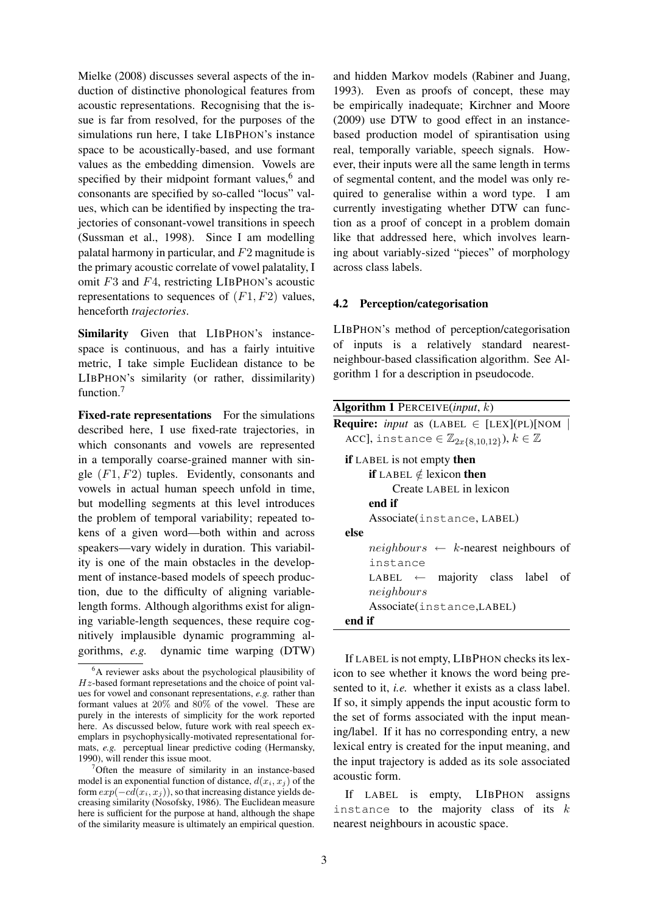Mielke (2008) discusses several aspects of the induction of distinctive phonological features from acoustic representations. Recognising that the issue is far from resolved, for the purposes of the simulations run here, I take LIBPHON's instance space to be acoustically-based, and use formant values as the embedding dimension. Vowels are specified by their midpoint formant values, $6$  and consonants are specified by so-called "locus" values, which can be identified by inspecting the trajectories of consonant-vowel transitions in speech (Sussman et al., 1998). Since I am modelling palatal harmony in particular, and F2 magnitude is the primary acoustic correlate of vowel palatality, I omit  $F3$  and  $F4$ , restricting LIBPHON's acoustic representations to sequences of  $(F1, F2)$  values, henceforth *trajectories*.

Similarity Given that LIBPHON's instancespace is continuous, and has a fairly intuitive metric, I take simple Euclidean distance to be LIBPHON's similarity (or rather, dissimilarity) function.<sup>7</sup>

Fixed-rate representations For the simulations described here, I use fixed-rate trajectories, in which consonants and vowels are represented in a temporally coarse-grained manner with single  $(F1, F2)$  tuples. Evidently, consonants and vowels in actual human speech unfold in time, but modelling segments at this level introduces the problem of temporal variability; repeated tokens of a given word—both within and across speakers—vary widely in duration. This variability is one of the main obstacles in the development of instance-based models of speech production, due to the difficulty of aligning variablelength forms. Although algorithms exist for aligning variable-length sequences, these require cognitively implausible dynamic programming algorithms, *e.g.* dynamic time warping (DTW)

and hidden Markov models (Rabiner and Juang, 1993). Even as proofs of concept, these may be empirically inadequate; Kirchner and Moore (2009) use DTW to good effect in an instancebased production model of spirantisation using real, temporally variable, speech signals. However, their inputs were all the same length in terms of segmental content, and the model was only required to generalise within a word type. I am currently investigating whether DTW can function as a proof of concept in a problem domain like that addressed here, which involves learning about variably-sized "pieces" of morphology across class labels.

### 4.2 Perception/categorisation

LIBPHON's method of perception/categorisation of inputs is a relatively standard nearestneighbour-based classification algorithm. See Algorithm 1 for a description in pseudocode.

| <b>Algorithm 1</b> PERCEIVE( <i>input, k</i> )                        |
|-----------------------------------------------------------------------|
| <b>Require:</b> <i>input</i> as (LABEL $\in$ [LEX](PL)[NOM            |
| ACC], instance $\in \mathbb{Z}_{2x\{8,10,12\}}$ ), $k \in \mathbb{Z}$ |
| <b>if</b> LABEL is not empty then                                     |
| <b>if</b> LABEL $\notin$ lexicon then                                 |
| Create LABEL in lexicon                                               |
| end if                                                                |
| Associate(instance, LABEL)                                            |
| else                                                                  |
| <i>neighbours</i> $\leftarrow$ <i>k</i> -nearest neighbours of        |
| instance                                                              |
| $LABEL \leftarrow \text{majority class label}$<br>of                  |
| neighbors                                                             |
| Associate(instance, LABEL)                                            |
| end if                                                                |

If LABEL is not empty, LIBPHON checks its lexicon to see whether it knows the word being presented to it, *i.e.* whether it exists as a class label. If so, it simply appends the input acoustic form to the set of forms associated with the input meaning/label. If it has no corresponding entry, a new lexical entry is created for the input meaning, and the input trajectory is added as its sole associated acoustic form.

If LABEL is empty, LIBPHON assigns instance to the majority class of its  $k$ nearest neighbours in acoustic space.

<sup>6</sup>A reviewer asks about the psychological plausibility of  $Hz$ -based formant represetations and the choice of point values for vowel and consonant representations, *e.g.* rather than formant values at 20% and 80% of the vowel. These are purely in the interests of simplicity for the work reported here. As discussed below, future work with real speech exemplars in psychophysically-motivated representational formats, *e.g.* perceptual linear predictive coding (Hermansky, 1990), will render this issue moot.

 $\sigma$ <sup>7</sup>Often the measure of similarity in an instance-based model is an exponential function of distance,  $d(x_i, x_j)$  of the form  $exp(-c\overline{d}(x_i, x_j))$ , so that increasing distance yields decreasing similarity (Nosofsky, 1986). The Euclidean measure here is sufficient for the purpose at hand, although the shape of the similarity measure is ultimately an empirical question.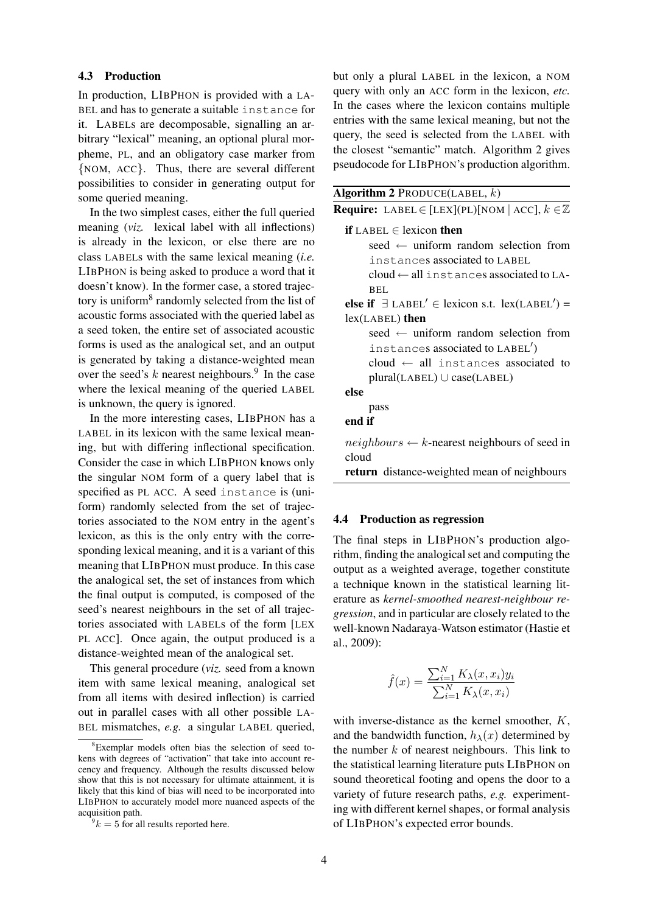#### 4.3 Production

In production, LIBPHON is provided with a LA-BEL and has to generate a suitable instance for it. LABELs are decomposable, signalling an arbitrary "lexical" meaning, an optional plural morpheme, PL, and an obligatory case marker from {NOM, ACC}. Thus, there are several different possibilities to consider in generating output for some queried meaning.

In the two simplest cases, either the full queried meaning (*viz.* lexical label with all inflections) is already in the lexicon, or else there are no class LABELs with the same lexical meaning (*i.e.* LIBPHON is being asked to produce a word that it doesn't know). In the former case, a stored trajectory is uniform<sup>8</sup> randomly selected from the list of acoustic forms associated with the queried label as a seed token, the entire set of associated acoustic forms is used as the analogical set, and an output is generated by taking a distance-weighted mean over the seed's  $k$  nearest neighbours.<sup>9</sup> In the case where the lexical meaning of the queried LABEL is unknown, the query is ignored.

In the more interesting cases, LIBPHON has a LABEL in its lexicon with the same lexical meaning, but with differing inflectional specification. Consider the case in which LIBPHON knows only the singular NOM form of a query label that is specified as PL ACC. A seed instance is (uniform) randomly selected from the set of trajectories associated to the NOM entry in the agent's lexicon, as this is the only entry with the corresponding lexical meaning, and it is a variant of this meaning that LIBPHON must produce. In this case the analogical set, the set of instances from which the final output is computed, is composed of the seed's nearest neighbours in the set of all trajectories associated with LABELs of the form [LEX PL ACC]. Once again, the output produced is a distance-weighted mean of the analogical set.

This general procedure (*viz.* seed from a known item with same lexical meaning, analogical set from all items with desired inflection) is carried out in parallel cases with all other possible LA-BEL mismatches, *e.g.* a singular LABEL queried, but only a plural LABEL in the lexicon, a NOM query with only an ACC form in the lexicon, *etc.* In the cases where the lexicon contains multiple entries with the same lexical meaning, but not the query, the seed is selected from the LABEL with the closest "semantic" match. Algorithm 2 gives pseudocode for LIBPHON's production algorithm.

| <b>Algorithm 2</b> PRODUCE(LABEL, $k$ )                              |
|----------------------------------------------------------------------|
| <b>Require:</b> LABEL $\in$ [LEX](PL)[NOM   ACC], $k \in \mathbb{Z}$ |
| <b>if</b> LABEL $\in$ lexicon then                                   |
| seed $\leftarrow$ uniform random selection from                      |
| instances associated to LABEL                                        |
| $cloud \leftarrow all instances associated to LA-$                   |
| REL.                                                                 |
| else if $\exists$ LABEL' $\in$ lexicon s.t. lex(LABEL') =            |
| $lex(LABEL)$ then                                                    |
| seed $\leftarrow$ uniform random selection from                      |
| instances associated to LABEL')                                      |
| cloud $\leftarrow$ all instances associated to                       |
| $plural(LABEL) \cup case(LABEL)$                                     |
| else                                                                 |
| pass                                                                 |
| end if                                                               |
| $neighbors \leftarrow k$ -nearest neighbours of seed in              |
| cloud                                                                |
| return distance-weighted mean of neighbours                          |

#### 4.4 Production as regression

The final steps in LIBPHON's production algorithm, finding the analogical set and computing the output as a weighted average, together constitute a technique known in the statistical learning literature as *kernel-smoothed nearest-neighbour regression*, and in particular are closely related to the well-known Nadaraya-Watson estimator (Hastie et al., 2009):

$$
\hat{f}(x) = \frac{\sum_{i=1}^{N} K_{\lambda}(x, x_i) y_i}{\sum_{i=1}^{N} K_{\lambda}(x, x_i)}
$$

with inverse-distance as the kernel smoother,  $K$ , and the bandwidth function,  $h_{\lambda}(x)$  determined by the number  $k$  of nearest neighbours. This link to the statistical learning literature puts LIBPHON on sound theoretical footing and opens the door to a variety of future research paths, *e.g.* experimenting with different kernel shapes, or formal analysis of LIBPHON's expected error bounds.

<sup>8</sup>Exemplar models often bias the selection of seed tokens with degrees of "activation" that take into account recency and frequency. Although the results discussed below show that this is not necessary for ultimate attainment, it is likely that this kind of bias will need to be incorporated into LIBPHON to accurately model more nuanced aspects of the acquisition path.

 $9k = 5$  for all results reported here.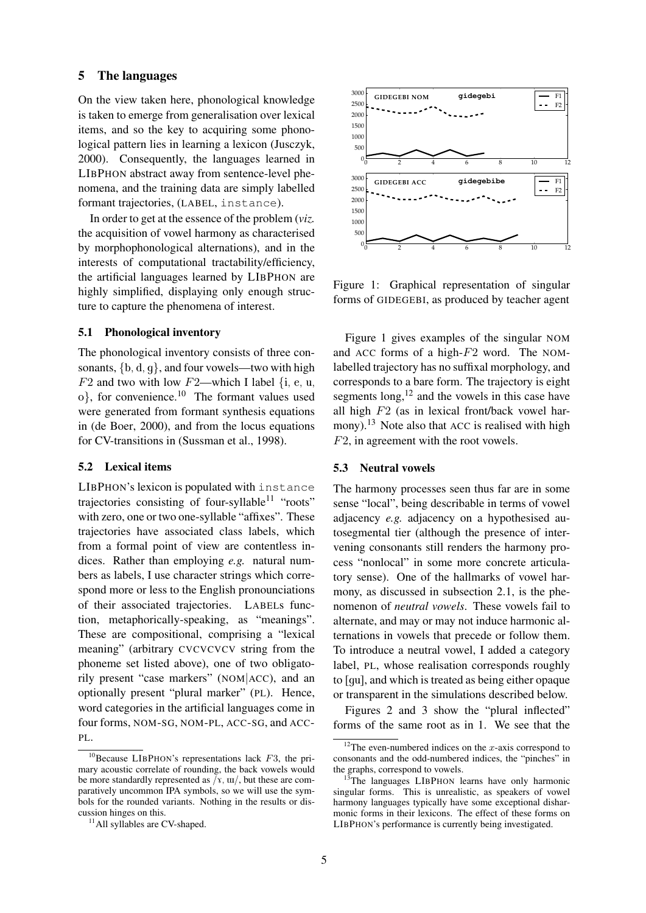### 5 The languages

On the view taken here, phonological knowledge is taken to emerge from generalisation over lexical items, and so the key to acquiring some phonological pattern lies in learning a lexicon (Jusczyk, 2000). Consequently, the languages learned in LIBPHON abstract away from sentence-level phenomena, and the training data are simply labelled formant trajectories, (LABEL, instance).

In order to get at the essence of the problem (*viz.* the acquisition of vowel harmony as characterised by morphophonological alternations), and in the interests of computational tractability/efficiency, the artificial languages learned by LIBPHON are highly simplified, displaying only enough structure to capture the phenomena of interest.

## 5.1 Phonological inventory

The phonological inventory consists of three consonants,  $\{b, d, q\}$ , and four vowels—two with high  $F2$  and two with low  $F2$ —which I label {i, e, u,  $o$ , for convenience.<sup>10</sup> The formant values used were generated from formant synthesis equations in (de Boer, 2000), and from the locus equations for CV-transitions in (Sussman et al., 1998).

### 5.2 Lexical items

LIBPHON's lexicon is populated with instance trajectories consisting of four-syllable<sup>11</sup> "roots" with zero, one or two one-syllable "affixes". These trajectories have associated class labels, which from a formal point of view are contentless indices. Rather than employing *e.g.* natural numbers as labels, I use character strings which correspond more or less to the English pronounciations of their associated trajectories. LABELs function, metaphorically-speaking, as "meanings". These are compositional, comprising a "lexical meaning" (arbitrary CVCVCVCV string from the phoneme set listed above), one of two obligatorily present "case markers" (NOM|ACC), and an optionally present "plural marker" (PL). Hence, word categories in the artificial languages come in four forms, NOM-SG, NOM-PL, ACC-SG, and ACC-PL.



Figure 1: Graphical representation of singular forms of GIDEGEBI, as produced by teacher agent

Figure 1 gives examples of the singular NOM and ACC forms of a high- $F2$  word. The NOMlabelled trajectory has no suffixal morphology, and corresponds to a bare form. The trajectory is eight segments  $\log$ ,<sup>12</sup> and the vowels in this case have all high  $F2$  (as in lexical front/back vowel harmony).<sup>13</sup> Note also that ACC is realised with high F2, in agreement with the root vowels.

#### 5.3 Neutral vowels

The harmony processes seen thus far are in some sense "local", being describable in terms of vowel adjacency *e.g.* adjacency on a hypothesised autosegmental tier (although the presence of intervening consonants still renders the harmony process "nonlocal" in some more concrete articulatory sense). One of the hallmarks of vowel harmony, as discussed in subsection 2.1, is the phenomenon of *neutral vowels*. These vowels fail to alternate, and may or may not induce harmonic alternations in vowels that precede or follow them. To introduce a neutral vowel, I added a category label, PL, whose realisation corresponds roughly to [gu], and which is treated as being either opaque or transparent in the simulations described below.

Figures 2 and 3 show the "plural inflected" forms of the same root as in 1. We see that the

 $10B$ Because LIBPHON's representations lack F3, the primary acoustic correlate of rounding, the back vowels would be more standardly represented as  $\overline{y}$ ,  $\overline{u}$ , but these are comparatively uncommon IPA symbols, so we will use the symbols for the rounded variants. Nothing in the results or discussion hinges on this.

<sup>&</sup>lt;sup>11</sup>All syllables are CV-shaped.

<sup>&</sup>lt;sup>12</sup>The even-numbered indices on the  $x$ -axis correspond to consonants and the odd-numbered indices, the "pinches" in the graphs, correspond to vowels.

The languages LIBPHON learns have only harmonic singular forms. This is unrealistic, as speakers of vowel harmony languages typically have some exceptional disharmonic forms in their lexicons. The effect of these forms on LIBPHON's performance is currently being investigated.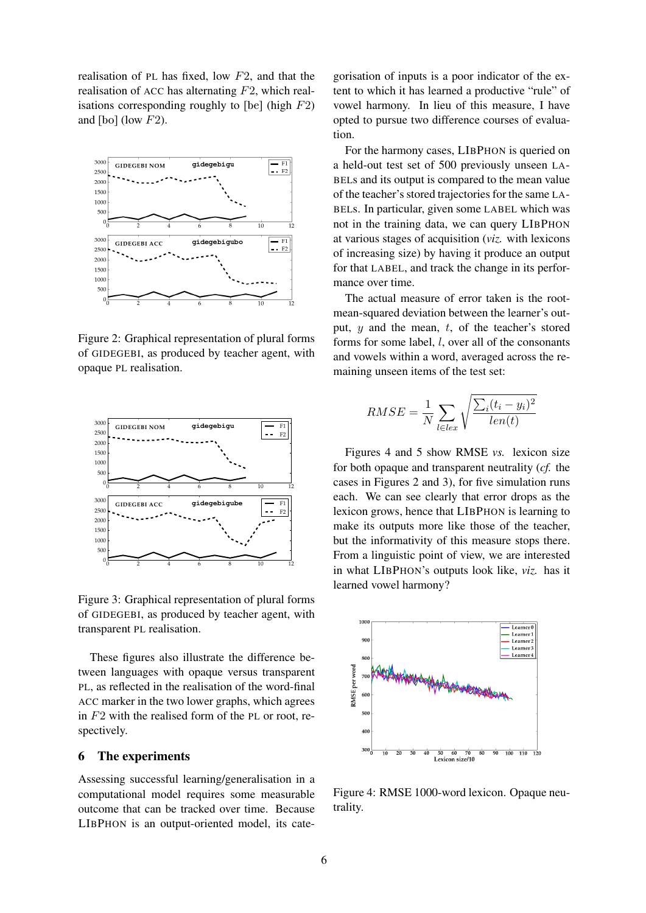realisation of PL has fixed, low  $F2$ , and that the realisation of ACC has alternating  $F2$ , which realisations corresponding roughly to  $[be]$  (high  $F2$ ) and  $[$ bo $]$  (low  $F2$ ).



Figure 2: Graphical representation of plural forms of GIDEGEBI, as produced by teacher agent, with opaque PL realisation.



Figure 3: Graphical representation of plural forms of GIDEGEBI, as produced by teacher agent, with transparent PL realisation.

These figures also illustrate the difference between languages with opaque versus transparent PL, as reflected in the realisation of the word-final ACC marker in the two lower graphs, which agrees in  $F2$  with the realised form of the PL or root, respectively.

## 6 The experiments

Assessing successful learning/generalisation in a computational model requires some measurable outcome that can be tracked over time. Because LIBPHON is an output-oriented model, its cate-

gorisation of inputs is a poor indicator of the extent to which it has learned a productive "rule" of vowel harmony. In lieu of this measure, I have opted to pursue two difference courses of evaluation.

For the harmony cases, LIBPHON is queried on a held-out test set of 500 previously unseen LA-BELs and its output is compared to the mean value of the teacher's stored trajectories for the same LA-BELs. In particular, given some LABEL which was not in the training data, we can query LIBPHON at various stages of acquisition (*viz.* with lexicons of increasing size) by having it produce an output for that LABEL, and track the change in its performance over time.

The actual measure of error taken is the rootmean-squared deviation between the learner's output,  $y$  and the mean,  $t$ , of the teacher's stored forms for some label, l, over all of the consonants and vowels within a word, averaged across the remaining unseen items of the test set:

$$
RMSE = \frac{1}{N} \sum_{l \in lex} \sqrt{\frac{\sum_{i} (t_i - y_i)^2}{len(t)}}
$$

Figures 4 and 5 show RMSE *vs.* lexicon size for both opaque and transparent neutrality (*cf.* the cases in Figures 2 and 3), for five simulation runs each. We can see clearly that error drops as the lexicon grows, hence that LIBPHON is learning to make its outputs more like those of the teacher, but the informativity of this measure stops there. From a linguistic point of view, we are interested in what LIBPHON's outputs look like, *viz.* has it learned vowel harmony?



Figure 4: RMSE 1000-word lexicon. Opaque neutrality.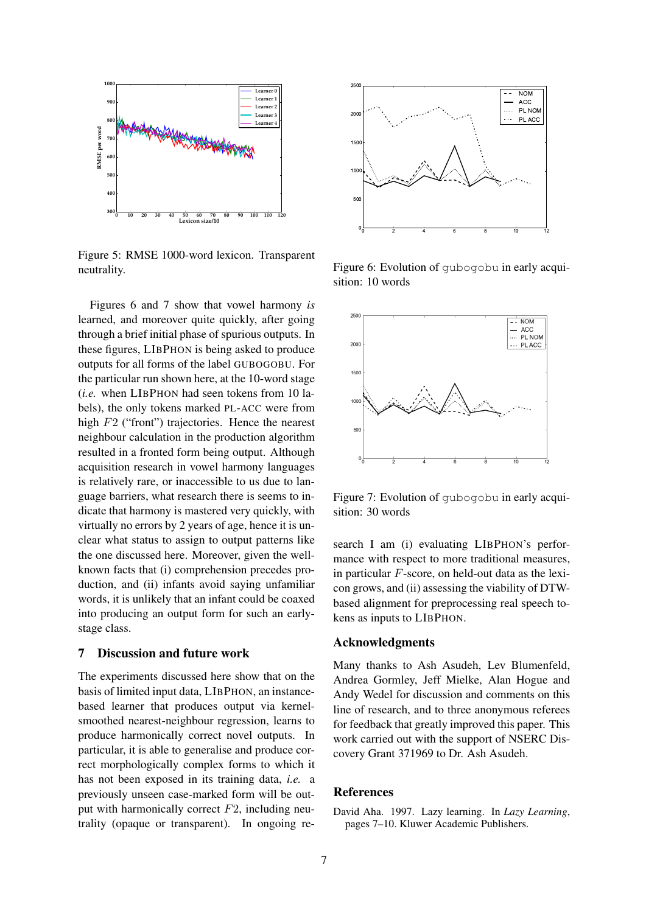

Figure 5: RMSE 1000-word lexicon. Transparent neutrality.

Figures 6 and 7 show that vowel harmony *is* learned, and moreover quite quickly, after going through a brief initial phase of spurious outputs. In these figures, LIBPHON is being asked to produce outputs for all forms of the label GUBOGOBU. For the particular run shown here, at the 10-word stage (*i.e.* when LIBPHON had seen tokens from 10 labels), the only tokens marked PL-ACC were from high F2 ("front") trajectories. Hence the nearest neighbour calculation in the production algorithm resulted in a fronted form being output. Although acquisition research in vowel harmony languages is relatively rare, or inaccessible to us due to language barriers, what research there is seems to indicate that harmony is mastered very quickly, with virtually no errors by 2 years of age, hence it is unclear what status to assign to output patterns like the one discussed here. Moreover, given the wellknown facts that (i) comprehension precedes production, and (ii) infants avoid saying unfamiliar words, it is unlikely that an infant could be coaxed into producing an output form for such an earlystage class.

## 7 Discussion and future work

The experiments discussed here show that on the basis of limited input data, LIBPHON, an instancebased learner that produces output via kernelsmoothed nearest-neighbour regression, learns to produce harmonically correct novel outputs. In particular, it is able to generalise and produce correct morphologically complex forms to which it has not been exposed in its training data, *i.e.* a previously unseen case-marked form will be output with harmonically correct  $F2$ , including neutrality (opaque or transparent). In ongoing re-



Figure 6: Evolution of gubogobu in early acquisition: 10 words



Figure 7: Evolution of gubogobu in early acquisition: 30 words

search I am (i) evaluating LIBPHON's performance with respect to more traditional measures, in particular F-score, on held-out data as the lexicon grows, and (ii) assessing the viability of DTWbased alignment for preprocessing real speech tokens as inputs to LIBPHON.

#### Acknowledgments

Many thanks to Ash Asudeh, Lev Blumenfeld, Andrea Gormley, Jeff Mielke, Alan Hogue and Andy Wedel for discussion and comments on this line of research, and to three anonymous referees for feedback that greatly improved this paper. This work carried out with the support of NSERC Discovery Grant 371969 to Dr. Ash Asudeh.

## References

David Aha. 1997. Lazy learning. In *Lazy Learning*, pages 7–10. Kluwer Academic Publishers.